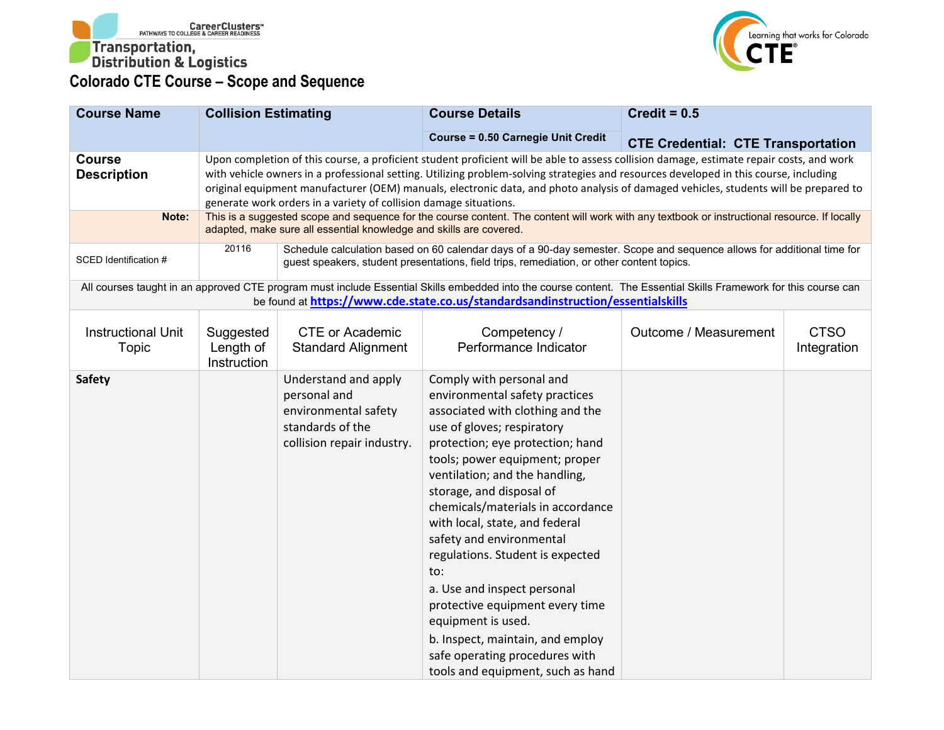



| <b>Course Name</b>                  | <b>Collision Estimating</b>           |                                                                                                                | <b>Course Details</b>                                                                                                                                                                                                                                                                                                                                                                                                                                                                                                                                                                                             | Credit = $0.5$                            |                            |
|-------------------------------------|---------------------------------------|----------------------------------------------------------------------------------------------------------------|-------------------------------------------------------------------------------------------------------------------------------------------------------------------------------------------------------------------------------------------------------------------------------------------------------------------------------------------------------------------------------------------------------------------------------------------------------------------------------------------------------------------------------------------------------------------------------------------------------------------|-------------------------------------------|----------------------------|
|                                     |                                       |                                                                                                                | <b>Course = 0.50 Carnegie Unit Credit</b>                                                                                                                                                                                                                                                                                                                                                                                                                                                                                                                                                                         | <b>CTE Credential: CTE Transportation</b> |                            |
| <b>Course</b><br><b>Description</b> |                                       | generate work orders in a variety of collision damage situations.                                              | Upon completion of this course, a proficient student proficient will be able to assess collision damage, estimate repair costs, and work<br>with vehicle owners in a professional setting. Utilizing problem-solving strategies and resources developed in this course, including<br>original equipment manufacturer (OEM) manuals, electronic data, and photo analysis of damaged vehicles, students will be prepared to                                                                                                                                                                                         |                                           |                            |
| Note:                               |                                       | adapted, make sure all essential knowledge and skills are covered.                                             | This is a suggested scope and sequence for the course content. The content will work with any textbook or instructional resource. If locally                                                                                                                                                                                                                                                                                                                                                                                                                                                                      |                                           |                            |
| SCED Identification #               | 20116                                 |                                                                                                                | Schedule calculation based on 60 calendar days of a 90-day semester. Scope and sequence allows for additional time for<br>guest speakers, student presentations, field trips, remediation, or other content topics.                                                                                                                                                                                                                                                                                                                                                                                               |                                           |                            |
|                                     |                                       |                                                                                                                | All courses taught in an approved CTE program must include Essential Skills embedded into the course content. The Essential Skills Framework for this course can<br>be found at https://www.cde.state.co.us/standardsandinstruction/essentialskills                                                                                                                                                                                                                                                                                                                                                               |                                           |                            |
| <b>Instructional Unit</b><br>Topic  | Suggested<br>Length of<br>Instruction | <b>CTE or Academic</b><br><b>Standard Alignment</b>                                                            | Competency /<br>Performance Indicator                                                                                                                                                                                                                                                                                                                                                                                                                                                                                                                                                                             | Outcome / Measurement                     | <b>CTSO</b><br>Integration |
| <b>Safety</b>                       |                                       | Understand and apply<br>personal and<br>environmental safety<br>standards of the<br>collision repair industry. | Comply with personal and<br>environmental safety practices<br>associated with clothing and the<br>use of gloves; respiratory<br>protection; eye protection; hand<br>tools; power equipment; proper<br>ventilation; and the handling,<br>storage, and disposal of<br>chemicals/materials in accordance<br>with local, state, and federal<br>safety and environmental<br>regulations. Student is expected<br>to:<br>a. Use and inspect personal<br>protective equipment every time<br>equipment is used.<br>b. Inspect, maintain, and employ<br>safe operating procedures with<br>tools and equipment, such as hand |                                           |                            |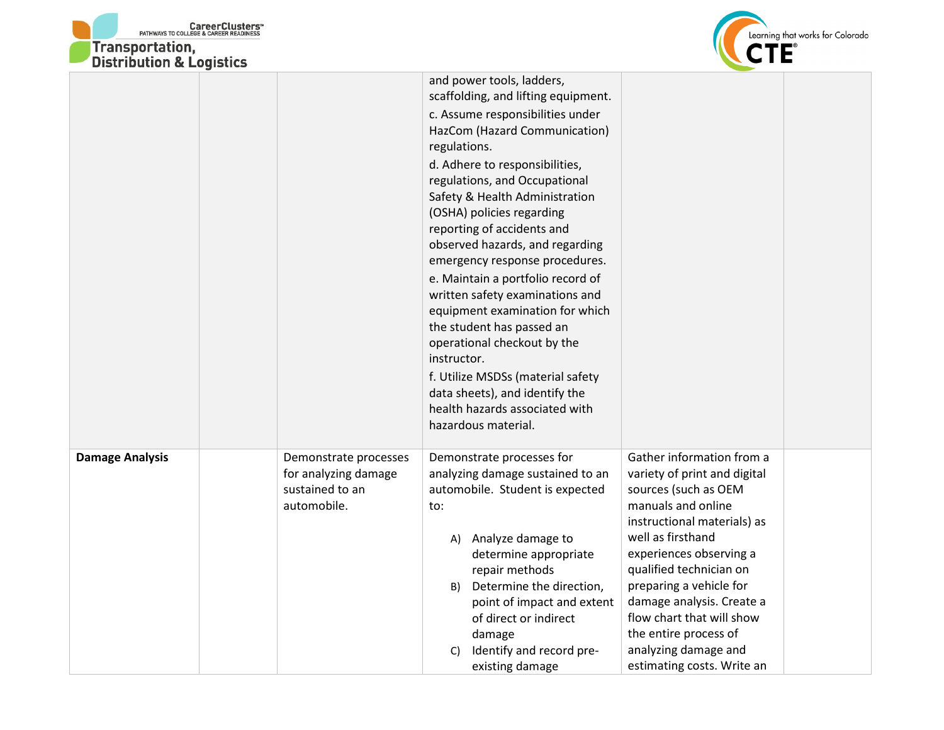



|                        |                                                                                 | and power tools, ladders,<br>scaffolding, and lifting equipment.<br>c. Assume responsibilities under<br>HazCom (Hazard Communication)<br>regulations.<br>d. Adhere to responsibilities,<br>regulations, and Occupational<br>Safety & Health Administration<br>(OSHA) policies regarding<br>reporting of accidents and<br>observed hazards, and regarding<br>emergency response procedures.<br>e. Maintain a portfolio record of<br>written safety examinations and<br>equipment examination for which<br>the student has passed an<br>operational checkout by the<br>instructor.<br>f. Utilize MSDSs (material safety<br>data sheets), and identify the<br>health hazards associated with<br>hazardous material. |                                                                                                                                                                                                                                                                                                                                                                                       |
|------------------------|---------------------------------------------------------------------------------|------------------------------------------------------------------------------------------------------------------------------------------------------------------------------------------------------------------------------------------------------------------------------------------------------------------------------------------------------------------------------------------------------------------------------------------------------------------------------------------------------------------------------------------------------------------------------------------------------------------------------------------------------------------------------------------------------------------|---------------------------------------------------------------------------------------------------------------------------------------------------------------------------------------------------------------------------------------------------------------------------------------------------------------------------------------------------------------------------------------|
| <b>Damage Analysis</b> | Demonstrate processes<br>for analyzing damage<br>sustained to an<br>automobile. | Demonstrate processes for<br>analyzing damage sustained to an<br>automobile. Student is expected<br>to:<br>A) Analyze damage to<br>determine appropriate<br>repair methods<br>B) Determine the direction,<br>point of impact and extent<br>of direct or indirect<br>damage<br>Identify and record pre-<br>C)<br>existing damage                                                                                                                                                                                                                                                                                                                                                                                  | Gather information from a<br>variety of print and digital<br>sources (such as OEM<br>manuals and online<br>instructional materials) as<br>well as firsthand<br>experiences observing a<br>qualified technician on<br>preparing a vehicle for<br>damage analysis. Create a<br>flow chart that will show<br>the entire process of<br>analyzing damage and<br>estimating costs. Write an |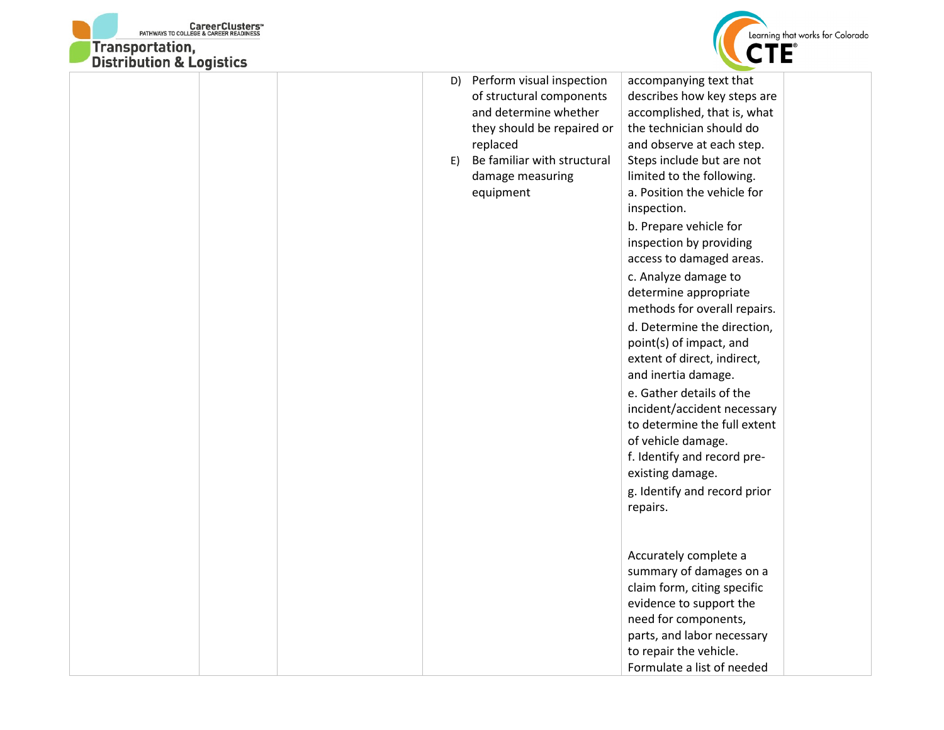



|  | D)<br>E) | Perform visual inspection<br>of structural components<br>and determine whether<br>they should be repaired or<br>replaced<br>Be familiar with structural<br>damage measuring<br>equipment | accompanying text that<br>describes how key steps are<br>accomplished, that is, what<br>the technician should do<br>and observe at each step.<br>Steps include but are not<br>limited to the following.<br>a. Position the vehicle for<br>inspection.<br>b. Prepare vehicle for<br>inspection by providing                                                                                                                                |  |
|--|----------|------------------------------------------------------------------------------------------------------------------------------------------------------------------------------------------|-------------------------------------------------------------------------------------------------------------------------------------------------------------------------------------------------------------------------------------------------------------------------------------------------------------------------------------------------------------------------------------------------------------------------------------------|--|
|  |          |                                                                                                                                                                                          | access to damaged areas.<br>c. Analyze damage to<br>determine appropriate<br>methods for overall repairs.<br>d. Determine the direction,<br>point(s) of impact, and<br>extent of direct, indirect,<br>and inertia damage.<br>e. Gather details of the<br>incident/accident necessary<br>to determine the full extent<br>of vehicle damage.<br>f. Identify and record pre-<br>existing damage.<br>g. Identify and record prior<br>repairs. |  |
|  |          |                                                                                                                                                                                          | Accurately complete a<br>summary of damages on a<br>claim form, citing specific<br>evidence to support the<br>need for components,<br>parts, and labor necessary<br>to repair the vehicle.<br>Formulate a list of needed                                                                                                                                                                                                                  |  |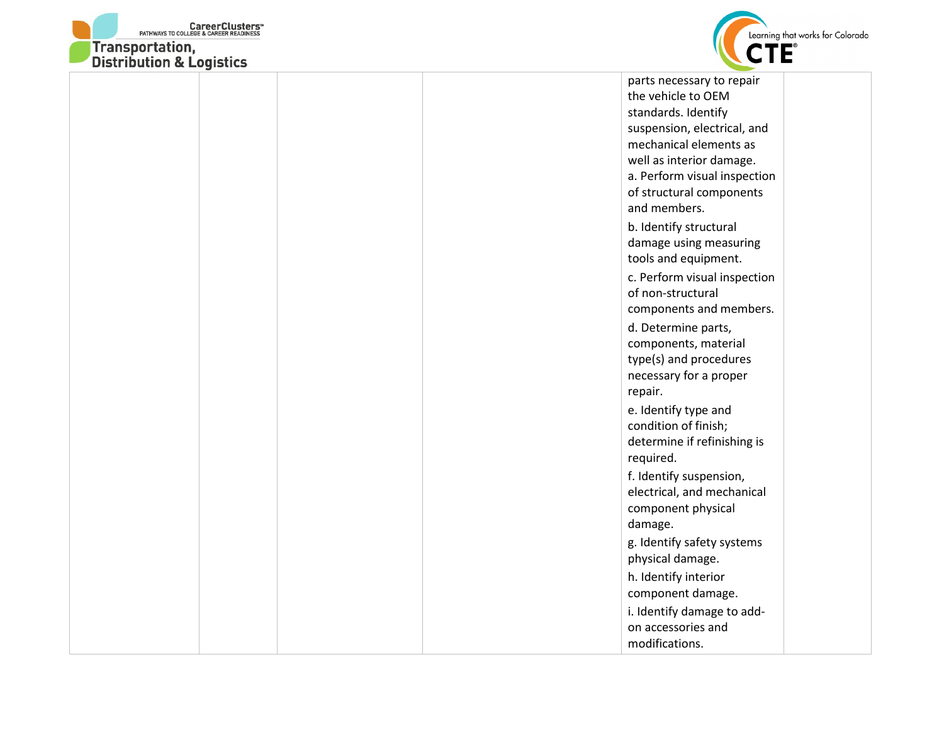



| <b>DISTRIBUTION &amp; LOGISTICS</b> |                              |  |
|-------------------------------------|------------------------------|--|
|                                     | parts necessary to repair    |  |
|                                     | the vehicle to OEM           |  |
|                                     | standards. Identify          |  |
|                                     | suspension, electrical, and  |  |
|                                     | mechanical elements as       |  |
|                                     | well as interior damage.     |  |
|                                     | a. Perform visual inspection |  |
|                                     | of structural components     |  |
|                                     | and members.                 |  |
|                                     | b. Identify structural       |  |
|                                     | damage using measuring       |  |
|                                     | tools and equipment.         |  |
|                                     | c. Perform visual inspection |  |
|                                     | of non-structural            |  |
|                                     | components and members.      |  |
|                                     | d. Determine parts,          |  |
|                                     | components, material         |  |
|                                     | type(s) and procedures       |  |
|                                     | necessary for a proper       |  |
|                                     | repair.                      |  |
|                                     | e. Identify type and         |  |
|                                     | condition of finish;         |  |
|                                     | determine if refinishing is  |  |
|                                     | required.                    |  |
|                                     | f. Identify suspension,      |  |
|                                     | electrical, and mechanical   |  |
|                                     | component physical           |  |
|                                     | damage.                      |  |
|                                     |                              |  |
|                                     | g. Identify safety systems   |  |
|                                     | physical damage.             |  |
|                                     | h. Identify interior         |  |
|                                     | component damage.            |  |
|                                     | i. Identify damage to add-   |  |
|                                     | on accessories and           |  |
|                                     | modifications.               |  |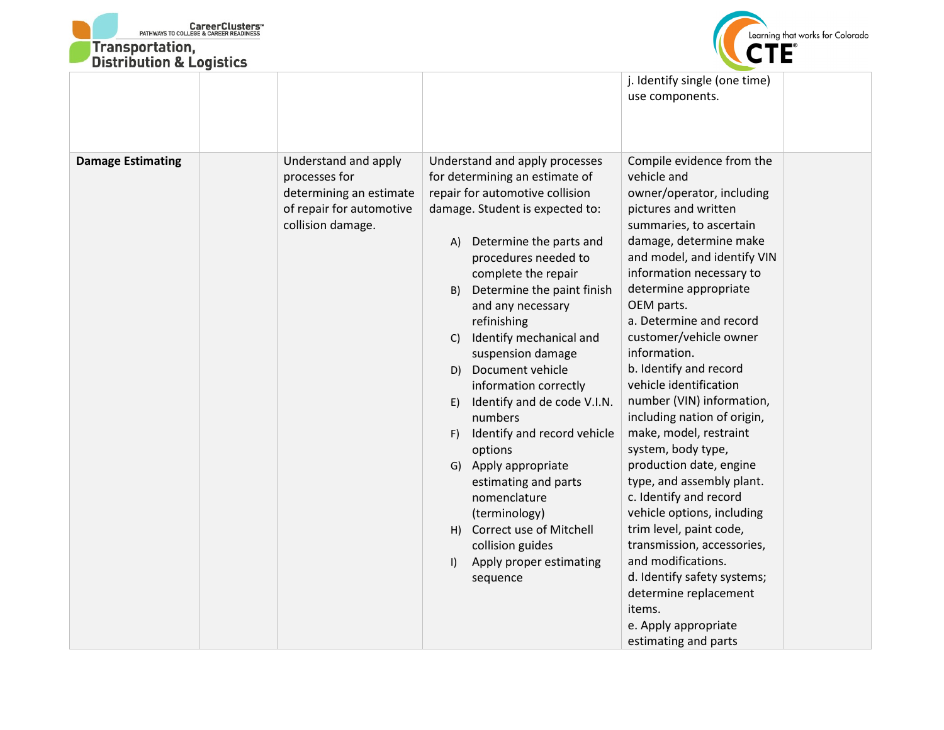



| DISTRIBUTION & LOGISTICS |                                                                                                                   |                                                                                                                                                                                                                                                                                                                                                                                                                                                                                                                                                                                                                                                                                                 |                                                                                                                                                                                                                                                                                                                                                                                                                                                                                                                                                                                                                                                                                                                                                                                                            |
|--------------------------|-------------------------------------------------------------------------------------------------------------------|-------------------------------------------------------------------------------------------------------------------------------------------------------------------------------------------------------------------------------------------------------------------------------------------------------------------------------------------------------------------------------------------------------------------------------------------------------------------------------------------------------------------------------------------------------------------------------------------------------------------------------------------------------------------------------------------------|------------------------------------------------------------------------------------------------------------------------------------------------------------------------------------------------------------------------------------------------------------------------------------------------------------------------------------------------------------------------------------------------------------------------------------------------------------------------------------------------------------------------------------------------------------------------------------------------------------------------------------------------------------------------------------------------------------------------------------------------------------------------------------------------------------|
|                          |                                                                                                                   |                                                                                                                                                                                                                                                                                                                                                                                                                                                                                                                                                                                                                                                                                                 | j. Identify single (one time)<br>use components.                                                                                                                                                                                                                                                                                                                                                                                                                                                                                                                                                                                                                                                                                                                                                           |
| <b>Damage Estimating</b> | Understand and apply<br>processes for<br>determining an estimate<br>of repair for automotive<br>collision damage. | Understand and apply processes<br>for determining an estimate of<br>repair for automotive collision<br>damage. Student is expected to:<br>Determine the parts and<br>A)<br>procedures needed to<br>complete the repair<br>Determine the paint finish<br>B)<br>and any necessary<br>refinishing<br>Identify mechanical and<br>C)<br>suspension damage<br>D) Document vehicle<br>information correctly<br>Identify and de code V.I.N.<br>E)<br>numbers<br>Identify and record vehicle<br>F)<br>options<br>Apply appropriate<br>G)<br>estimating and parts<br>nomenclature<br>(terminology)<br>Correct use of Mitchell<br>H)<br>collision guides<br>Apply proper estimating<br>$\vert$<br>sequence | Compile evidence from the<br>vehicle and<br>owner/operator, including<br>pictures and written<br>summaries, to ascertain<br>damage, determine make<br>and model, and identify VIN<br>information necessary to<br>determine appropriate<br>OEM parts.<br>a. Determine and record<br>customer/vehicle owner<br>information.<br>b. Identify and record<br>vehicle identification<br>number (VIN) information,<br>including nation of origin,<br>make, model, restraint<br>system, body type,<br>production date, engine<br>type, and assembly plant.<br>c. Identify and record<br>vehicle options, including<br>trim level, paint code,<br>transmission, accessories,<br>and modifications.<br>d. Identify safety systems;<br>determine replacement<br>items.<br>e. Apply appropriate<br>estimating and parts |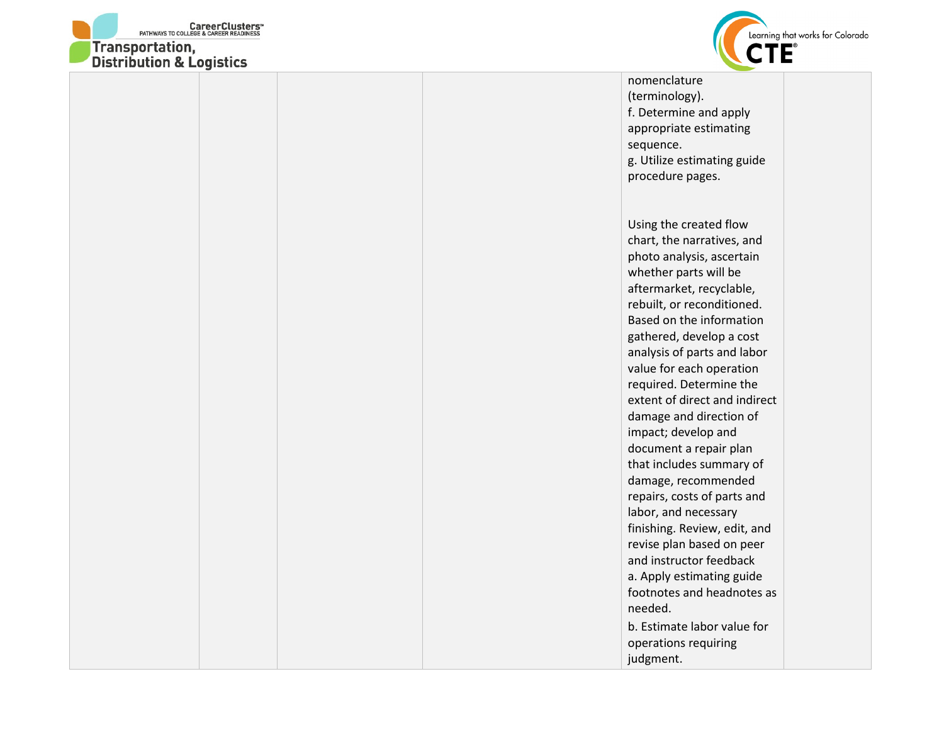



| nomenclature<br>(terminology).<br>f. Determine and apply<br>appropriate estimating<br>sequence.                                                                                                                                                                                                                                                                                                                                                                                                                                                                                                                                                                                              |  |
|----------------------------------------------------------------------------------------------------------------------------------------------------------------------------------------------------------------------------------------------------------------------------------------------------------------------------------------------------------------------------------------------------------------------------------------------------------------------------------------------------------------------------------------------------------------------------------------------------------------------------------------------------------------------------------------------|--|
| g. Utilize estimating guide<br>procedure pages.                                                                                                                                                                                                                                                                                                                                                                                                                                                                                                                                                                                                                                              |  |
| Using the created flow<br>chart, the narratives, and<br>photo analysis, ascertain<br>whether parts will be<br>aftermarket, recyclable,<br>rebuilt, or reconditioned.<br>Based on the information<br>gathered, develop a cost<br>analysis of parts and labor<br>value for each operation<br>required. Determine the<br>extent of direct and indirect<br>damage and direction of<br>impact; develop and<br>document a repair plan<br>that includes summary of<br>damage, recommended<br>repairs, costs of parts and<br>labor, and necessary<br>finishing. Review, edit, and<br>revise plan based on peer<br>and instructor feedback<br>a. Apply estimating guide<br>footnotes and headnotes as |  |
| needed.<br>b. Estimate labor value for<br>operations requiring<br>judgment.                                                                                                                                                                                                                                                                                                                                                                                                                                                                                                                                                                                                                  |  |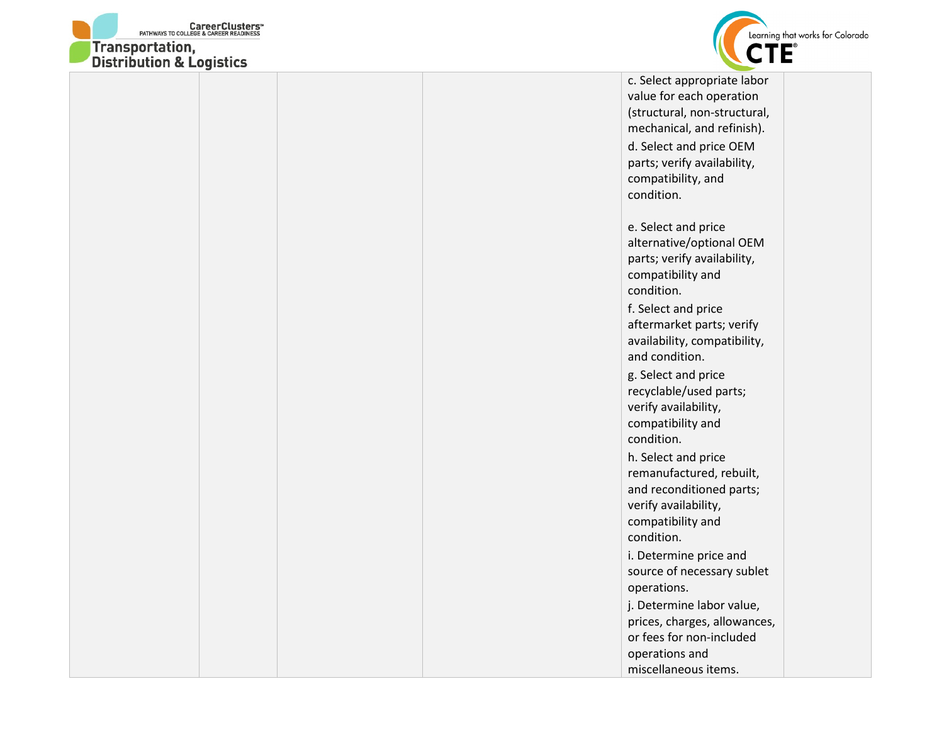



value for each operation (structural, non-structural, mechanical, and refinish). d. Select and price OEM parts; verify availability, compatibility, and condition. e. Select and price alternative/optional OEM parts; verify availability, compatibility and condition. f. Select and price aftermarket parts; verify availability, compatibility, and condition. g. Select and price recyclable/used parts; verify availability, compatibility and condition. h. Select and price remanufactured, rebuilt, and reconditioned parts; verify availability, compatibility and condition. i. Determine price and source of necessary sublet operations. j. Determine labor value, prices, charges, allowances, or fees for non-included operations and miscellaneous items.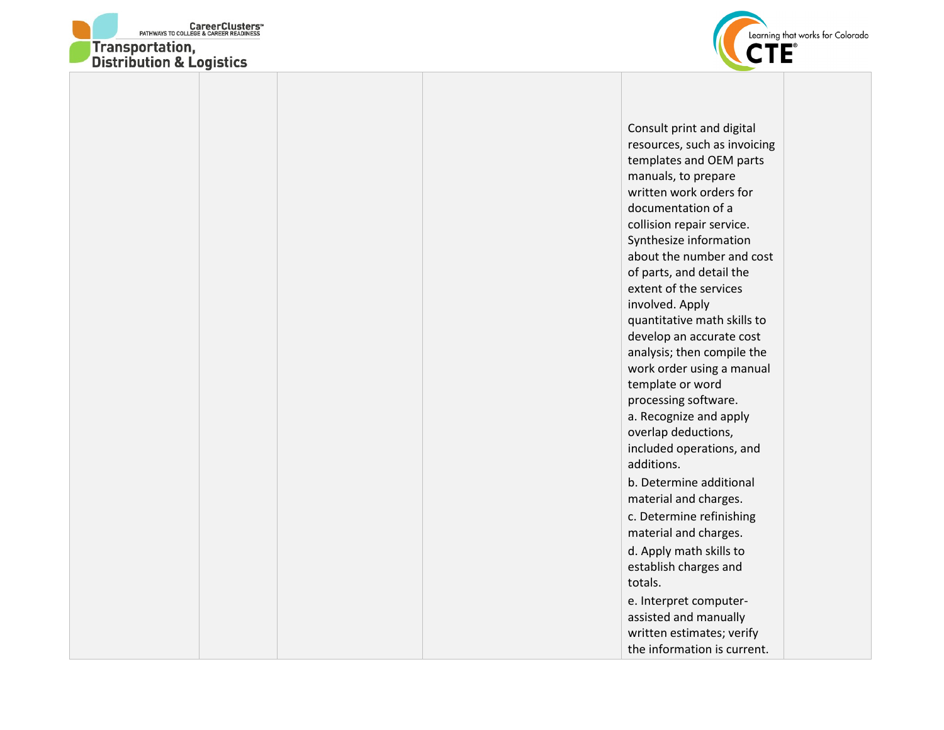



Consult print and digital resources, such as invoicing templates and OEM parts manuals, to prepare written work orders for documentation of a collision repair service. Synthesize information about the number and cost of parts, and detail the extent of the services involved. Apply quantitative math skills to develop an accurate cost analysis; then compile the work order using a manual template or word processing software. a. Recognize and apply overlap deductions, included operations, and additions. b. Determine additional material and charges. c. Determine refinishing material and charges. d. Apply math skills to establish charges and totals. e. Interpret computerassisted and manually written estimates; verify the information is current.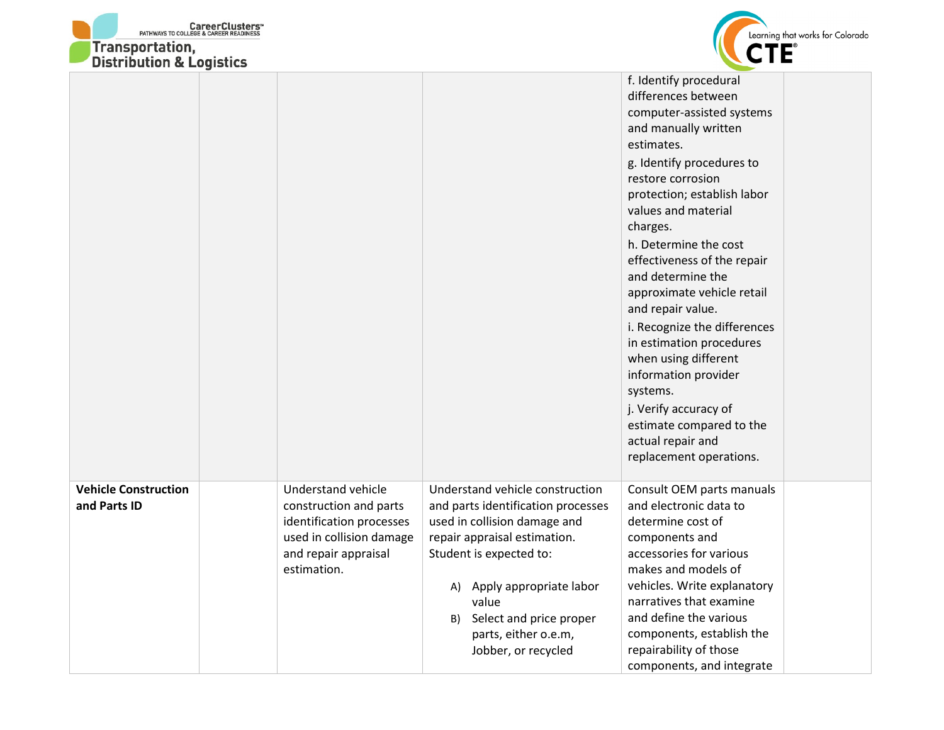| <b>CareerClusters</b> <sup>*</sup><br>PATHWAYS TO COLLEGE & CAREER READINESS<br><b>Transportation,</b><br><b>Distribution &amp; Logistics</b> |                                                                                                                                             |                                                                                                                                                                  | Learning that works for Colorado                                                                                                                                     |
|-----------------------------------------------------------------------------------------------------------------------------------------------|---------------------------------------------------------------------------------------------------------------------------------------------|------------------------------------------------------------------------------------------------------------------------------------------------------------------|----------------------------------------------------------------------------------------------------------------------------------------------------------------------|
|                                                                                                                                               |                                                                                                                                             |                                                                                                                                                                  | f. Identify procedural<br>differences between<br>computer-assisted systems<br>and manually written<br>estimates.                                                     |
|                                                                                                                                               |                                                                                                                                             |                                                                                                                                                                  | g. Identify procedures to<br>restore corrosion<br>protection; establish labor<br>values and material<br>charges.                                                     |
|                                                                                                                                               |                                                                                                                                             |                                                                                                                                                                  | h. Determine the cost<br>effectiveness of the repair<br>and determine the<br>approximate vehicle retail<br>and repair value.                                         |
|                                                                                                                                               |                                                                                                                                             |                                                                                                                                                                  | i. Recognize the differences<br>in estimation procedures<br>when using different<br>information provider<br>systems.                                                 |
|                                                                                                                                               |                                                                                                                                             |                                                                                                                                                                  | j. Verify accuracy of<br>estimate compared to the<br>actual repair and<br>replacement operations.                                                                    |
| <b>Vehicle Construction</b><br>and Parts ID                                                                                                   | Understand vehicle<br>construction and parts<br>identification processes<br>used in collision damage<br>and repair appraisal<br>estimation. | Understand vehicle construction<br>and parts identification processes<br>used in collision damage and<br>repair appraisal estimation.<br>Student is expected to: | Consult OEM parts manuals<br>and electronic data to<br>determine cost of<br>components and<br>accessories for various<br>makes and models of                         |
|                                                                                                                                               |                                                                                                                                             | A) Apply appropriate labor<br>value<br>Select and price proper<br>B)<br>parts, either o.e.m,<br>Jobber, or recycled                                              | vehicles. Write explanatory<br>narratives that examine<br>and define the various<br>components, establish the<br>repairability of those<br>components, and integrate |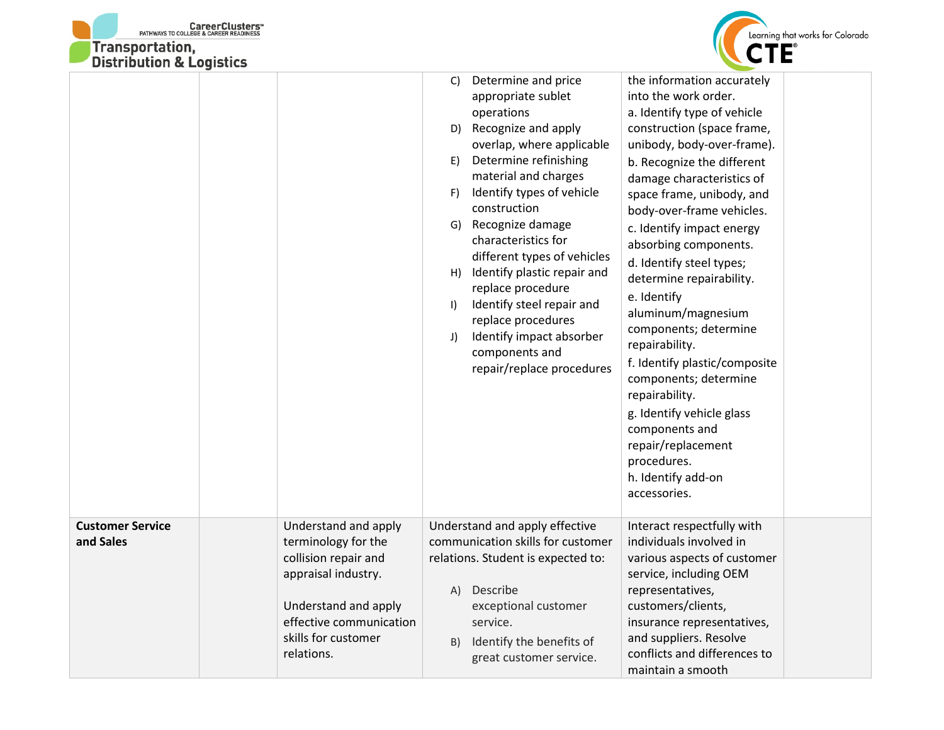



| DISTRIBUTION & LOGISTICS             |                                                                                                                                                                                    |                                                                                                                                                                                                                                                                                                                                                                                                                                                                                                                                                                                                                                                                                                                                                                                                                                                                                                                                                                                                                                                                                                                                                                                                |  |
|--------------------------------------|------------------------------------------------------------------------------------------------------------------------------------------------------------------------------------|------------------------------------------------------------------------------------------------------------------------------------------------------------------------------------------------------------------------------------------------------------------------------------------------------------------------------------------------------------------------------------------------------------------------------------------------------------------------------------------------------------------------------------------------------------------------------------------------------------------------------------------------------------------------------------------------------------------------------------------------------------------------------------------------------------------------------------------------------------------------------------------------------------------------------------------------------------------------------------------------------------------------------------------------------------------------------------------------------------------------------------------------------------------------------------------------|--|
|                                      |                                                                                                                                                                                    | the information accurately<br>Determine and price<br>C)<br>into the work order.<br>appropriate sublet<br>a. Identify type of vehicle<br>operations<br>D) Recognize and apply<br>construction (space frame,<br>overlap, where applicable<br>unibody, body-over-frame).<br>Determine refinishing<br>E)<br>b. Recognize the different<br>material and charges<br>damage characteristics of<br>Identify types of vehicle<br>F)<br>space frame, unibody, and<br>construction<br>body-over-frame vehicles.<br>Recognize damage<br>G)<br>c. Identify impact energy<br>characteristics for<br>absorbing components.<br>different types of vehicles<br>d. Identify steel types;<br>H) Identify plastic repair and<br>determine repairability.<br>replace procedure<br>e. Identify<br>Identify steel repair and<br>$\vert$<br>aluminum/magnesium<br>replace procedures<br>components; determine<br>Identify impact absorber<br>J)<br>repairability.<br>components and<br>f. Identify plastic/composite<br>repair/replace procedures<br>components; determine<br>repairability.<br>g. Identify vehicle glass<br>components and<br>repair/replacement<br>procedures.<br>h. Identify add-on<br>accessories. |  |
| <b>Customer Service</b><br>and Sales | Understand and apply<br>terminology for the<br>collision repair and<br>appraisal industry.<br>Understand and apply<br>effective communication<br>skills for customer<br>relations. | Understand and apply effective<br>Interact respectfully with<br>communication skills for customer<br>individuals involved in<br>various aspects of customer<br>relations. Student is expected to:<br>service, including OEM<br>Describe<br>representatives,<br>(A)<br>customers/clients,<br>exceptional customer<br>service.<br>insurance representatives,<br>and suppliers. Resolve<br>Identify the benefits of<br>B)<br>conflicts and differences to<br>great customer service.<br>maintain a smooth                                                                                                                                                                                                                                                                                                                                                                                                                                                                                                                                                                                                                                                                                         |  |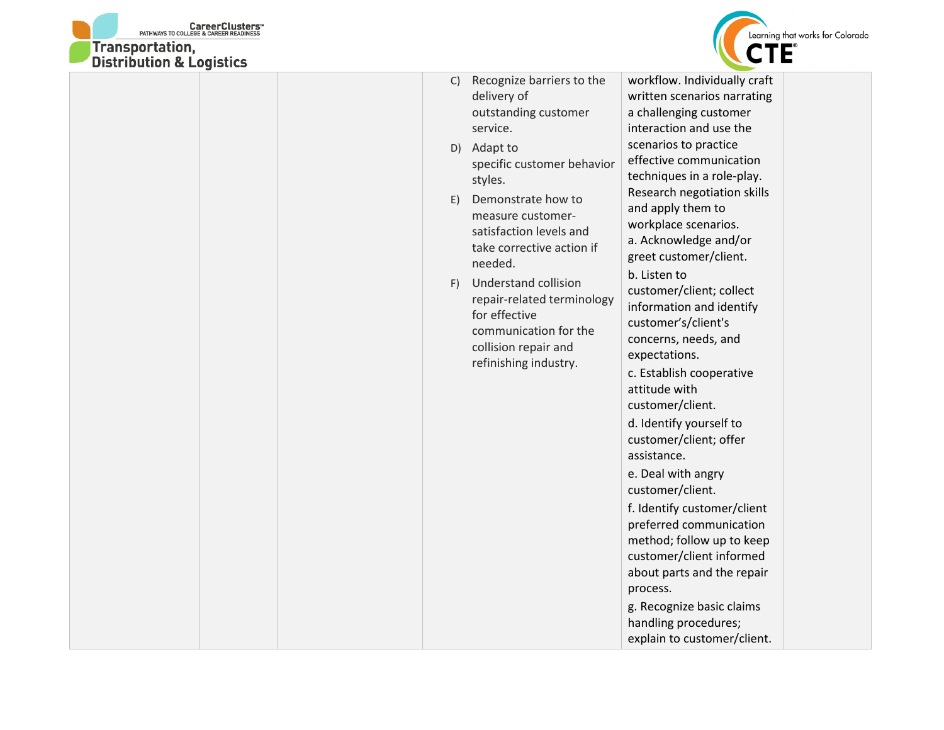



| Recognize barriers to the<br>C)<br>delivery of<br>outstanding customer<br>service.<br>Adapt to<br>D)<br>specific customer behavior<br>styles.<br>Demonstrate how to<br>E)<br>measure customer-<br>satisfaction levels and<br>take corrective action if<br>needed.<br><b>Understand collision</b><br>F)<br>repair-related terminology<br>for effective<br>communication for the<br>collision repair and<br>refinishing industry. | workflow. Individually craft<br>written scenarios narrating<br>a challenging customer<br>interaction and use the<br>scenarios to practice<br>effective communication<br>techniques in a role-play.<br>Research negotiation skills<br>and apply them to<br>workplace scenarios.<br>a. Acknowledge and/or<br>greet customer/client.<br>b. Listen to<br>customer/client; collect<br>information and identify<br>customer's/client's<br>concerns, needs, and<br>expectations.<br>c. Establish cooperative<br>attitude with<br>customer/client.<br>d. Identify yourself to<br>customer/client; offer<br>assistance.<br>e. Deal with angry<br>customer/client.<br>f. Identify customer/client<br>preferred communication<br>method; follow up to keep<br>customer/client informed<br>about parts and the repair |
|---------------------------------------------------------------------------------------------------------------------------------------------------------------------------------------------------------------------------------------------------------------------------------------------------------------------------------------------------------------------------------------------------------------------------------|-----------------------------------------------------------------------------------------------------------------------------------------------------------------------------------------------------------------------------------------------------------------------------------------------------------------------------------------------------------------------------------------------------------------------------------------------------------------------------------------------------------------------------------------------------------------------------------------------------------------------------------------------------------------------------------------------------------------------------------------------------------------------------------------------------------|
|                                                                                                                                                                                                                                                                                                                                                                                                                                 | process.<br>g. Recognize basic claims<br>handling procedures;<br>explain to customer/client.                                                                                                                                                                                                                                                                                                                                                                                                                                                                                                                                                                                                                                                                                                              |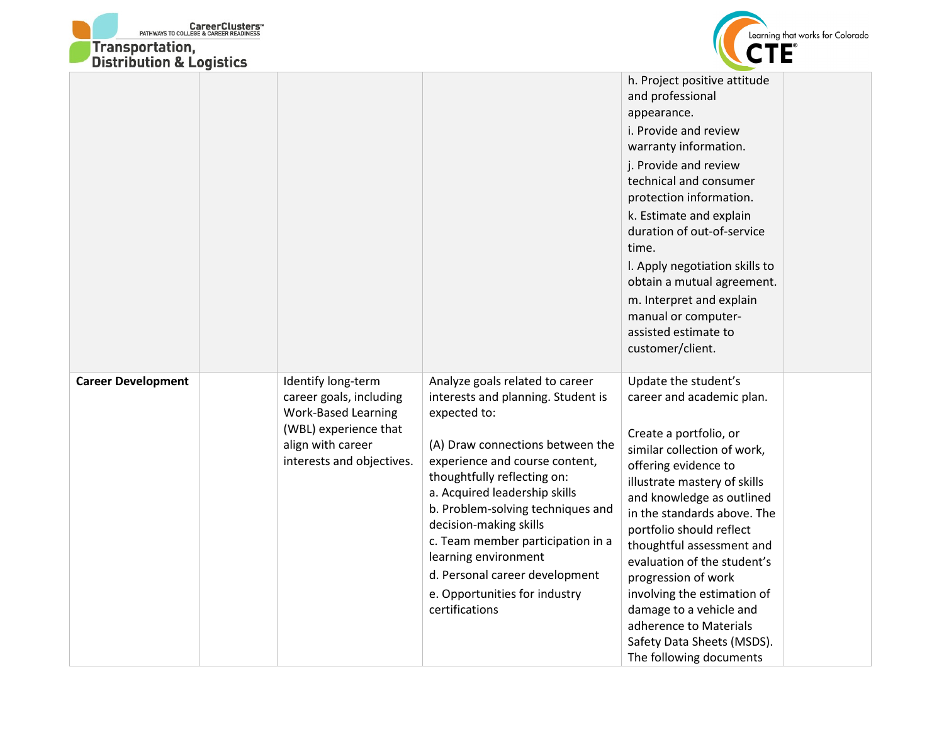| <b>CareerClusters</b> <sup>*</sup><br>PATHWAYS TO COLLEGE & CAREER READINESS<br>Transportation,<br><b>Distribution &amp; Logistics</b> |                                                                                                                                                        |                                                                                                                                                                                                                                                                                                                                                                                                                                              | Learning that works for Colorado                                                                                                                                                                                                                                                                                                                                                                                                                                                           |
|----------------------------------------------------------------------------------------------------------------------------------------|--------------------------------------------------------------------------------------------------------------------------------------------------------|----------------------------------------------------------------------------------------------------------------------------------------------------------------------------------------------------------------------------------------------------------------------------------------------------------------------------------------------------------------------------------------------------------------------------------------------|--------------------------------------------------------------------------------------------------------------------------------------------------------------------------------------------------------------------------------------------------------------------------------------------------------------------------------------------------------------------------------------------------------------------------------------------------------------------------------------------|
|                                                                                                                                        |                                                                                                                                                        |                                                                                                                                                                                                                                                                                                                                                                                                                                              | h. Project positive attitude<br>and professional<br>appearance.<br>i. Provide and review<br>warranty information.<br>j. Provide and review<br>technical and consumer<br>protection information.<br>k. Estimate and explain<br>duration of out-of-service<br>time.<br>I. Apply negotiation skills to<br>obtain a mutual agreement.<br>m. Interpret and explain<br>manual or computer-<br>assisted estimate to<br>customer/client.                                                           |
| <b>Career Development</b>                                                                                                              | Identify long-term<br>career goals, including<br><b>Work-Based Learning</b><br>(WBL) experience that<br>align with career<br>interests and objectives. | Analyze goals related to career<br>interests and planning. Student is<br>expected to:<br>(A) Draw connections between the<br>experience and course content,<br>thoughtfully reflecting on:<br>a. Acquired leadership skills<br>b. Problem-solving techniques and<br>decision-making skills<br>c. Team member participation in a<br>learning environment<br>d. Personal career development<br>e. Opportunities for industry<br>certifications | Update the student's<br>career and academic plan.<br>Create a portfolio, or<br>similar collection of work,<br>offering evidence to<br>illustrate mastery of skills<br>and knowledge as outlined<br>in the standards above. The<br>portfolio should reflect<br>thoughtful assessment and<br>evaluation of the student's<br>progression of work<br>involving the estimation of<br>damage to a vehicle and<br>adherence to Materials<br>Safety Data Sheets (MSDS).<br>The following documents |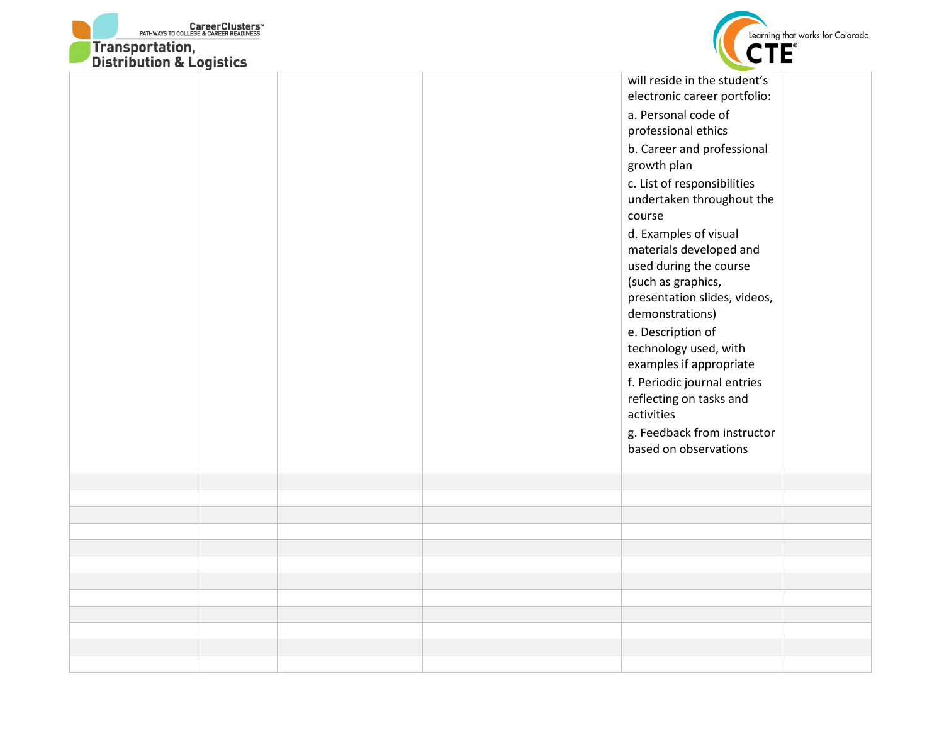



| <b>DISTRIBUTION &amp; LOGISTICS</b> |  |                                                                                                                                                                                                                                                                                                                                                                                                                                                                                                                                                                                               |  |
|-------------------------------------|--|-----------------------------------------------------------------------------------------------------------------------------------------------------------------------------------------------------------------------------------------------------------------------------------------------------------------------------------------------------------------------------------------------------------------------------------------------------------------------------------------------------------------------------------------------------------------------------------------------|--|
|                                     |  | will reside in the student's<br>electronic career portfolio:<br>a. Personal code of<br>professional ethics<br>b. Career and professional<br>growth plan<br>c. List of responsibilities<br>undertaken throughout the<br>course<br>d. Examples of visual<br>materials developed and<br>used during the course<br>(such as graphics,<br>presentation slides, videos,<br>demonstrations)<br>e. Description of<br>technology used, with<br>examples if appropriate<br>f. Periodic journal entries<br>reflecting on tasks and<br>activities<br>g. Feedback from instructor<br>based on observations |  |
|                                     |  |                                                                                                                                                                                                                                                                                                                                                                                                                                                                                                                                                                                               |  |
|                                     |  |                                                                                                                                                                                                                                                                                                                                                                                                                                                                                                                                                                                               |  |
|                                     |  |                                                                                                                                                                                                                                                                                                                                                                                                                                                                                                                                                                                               |  |
|                                     |  |                                                                                                                                                                                                                                                                                                                                                                                                                                                                                                                                                                                               |  |
|                                     |  |                                                                                                                                                                                                                                                                                                                                                                                                                                                                                                                                                                                               |  |
|                                     |  |                                                                                                                                                                                                                                                                                                                                                                                                                                                                                                                                                                                               |  |
|                                     |  |                                                                                                                                                                                                                                                                                                                                                                                                                                                                                                                                                                                               |  |
|                                     |  |                                                                                                                                                                                                                                                                                                                                                                                                                                                                                                                                                                                               |  |
|                                     |  |                                                                                                                                                                                                                                                                                                                                                                                                                                                                                                                                                                                               |  |
|                                     |  |                                                                                                                                                                                                                                                                                                                                                                                                                                                                                                                                                                                               |  |
|                                     |  |                                                                                                                                                                                                                                                                                                                                                                                                                                                                                                                                                                                               |  |